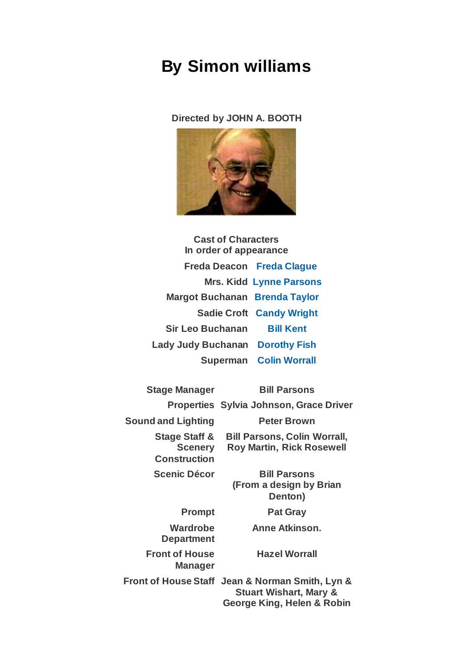## **By Simon williams**

## **Directed by JOHN A. BOOTH**



**Cast of Characters In order of appearance Freda Deacon [Freda Clague](https://www.carelinetheatre.com/pastprods/layingtheghost.php#Freda) Mrs. Kidd [Lynne Parsons](https://www.carelinetheatre.com/pastprods/layingtheghost.php#Lynne) Margot Buchanan [Brenda Taylor](https://www.carelinetheatre.com/pastprods/layingtheghost.php#Brenda) Sadie Croft [Candy Wright](https://www.carelinetheatre.com/pastprods/layingtheghost.php#Candy) Sir Leo Buchanan [Bill Kent](https://www.carelinetheatre.com/pastprods/layingtheghost.php#Bill) Lady Judy Buchanan [Dorothy Fish](https://www.carelinetheatre.com/pastprods/layingtheghost.php#Dorothy) Superman [Colin Worrall](https://www.carelinetheatre.com/pastprods/layingtheghost.php#Colin)**

**Stage Manager Bill Parsons Properties Sylvia Johnson, Grace Driver Sound and Lighting Peter Brown Stage Staff & Scenery Construction Bill Parsons, Colin Worrall, Roy Martin, Rick Rosewell Scenic Décor Bill Parsons (From a design by Brian Denton) Prompt Pat Gray Wardrobe Department Anne Atkinson. Front of House Manager Hazel Worrall Front of House Staff Jean & Norman Smith, Lyn & Stuart Wishart, Mary & George King, Helen & Robin**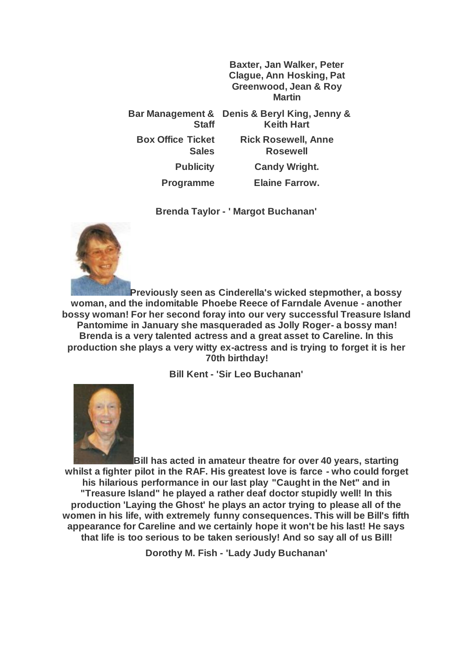**Baxter, Jan Walker, Peter Clague, Ann Hosking, Pat Greenwood, Jean & Roy Martin Bar Management & Denis & Beryl King, Jenny & Staff Keith Hart Box Office Ticket Sales Rick Rosewell, Anne Rosewell Publicity Candy Wright. Programme Elaine Farrow.**

**Brenda Taylor - ' Margot Buchanan'**



**Previously seen as Cinderella's wicked stepmother, a bossy woman, and the indomitable Phoebe Reece of Farndale Avenue - another bossy woman! For her second foray into our very successful Treasure Island Pantomime in January she masqueraded as Jolly Roger- a bossy man! Brenda is a very talented actress and a great asset to Careline. In this production she plays a very witty ex-actress and is trying to forget it is her 70th birthday!**

**Bill Kent - 'Sir Leo Buchanan'**



**Bill has acted in amateur theatre for over 40 years, starting whilst a fighter pilot in the RAF. His greatest love is farce - who could forget his hilarious performance in our last play "Caught in the Net" and in "Treasure Island" he played a rather deaf doctor stupidly well! In this production 'Laying the Ghost' he plays an actor trying to please all of the women in his life, with extremely funny consequences. This will be Bill's fifth appearance for Careline and we certainly hope it won't be his last! He says that life is too serious to be taken seriously! And so say all of us Bill!**

**Dorothy M. Fish - 'Lady Judy Buchanan'**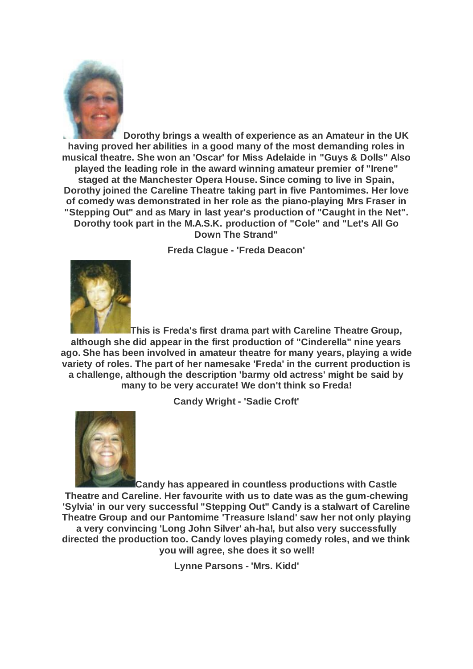

**Dorothy brings a wealth of experience as an Amateur in the UK having proved her abilities in a good many of the most demanding roles in musical theatre. She won an 'Oscar' for Miss Adelaide in "Guys & Dolls" Also played the leading role in the award winning amateur premier of "Irene" staged at the Manchester Opera House. Since coming to live in Spain, Dorothy joined the Careline Theatre taking part in five Pantomimes. Her love of comedy was demonstrated in her role as the piano-playing Mrs Fraser in "Stepping Out" and as Mary in last year's production of "Caught in the Net". Dorothy took part in the M.A.S.K. production of "Cole" and "Let's All Go Down The Strand"**

**Freda Clague - 'Freda Deacon'**



**This is Freda's first drama part with Careline Theatre Group, although she did appear in the first production of "Cinderella" nine years ago. She has been involved in amateur theatre for many years, playing a wide variety of roles. The part of her namesake 'Freda' in the current production is a challenge, although the description 'barmy old actress' might be said by many to be very accurate! We don't think so Freda!**

**Candy Wright - 'Sadie Croft'**



**Candy has appeared in countless productions with Castle Theatre and Careline. Her favourite with us to date was as the gum-chewing 'Sylvia' in our very successful "Stepping Out" Candy is a stalwart of Careline Theatre Group and our Pantomime 'Treasure Island' saw her not only playing a very convincing 'Long John Silver' ah-ha!, but also very successfully directed the production too. Candy loves playing comedy roles, and we think you will agree, she does it so well!**

**Lynne Parsons - 'Mrs. Kidd'**